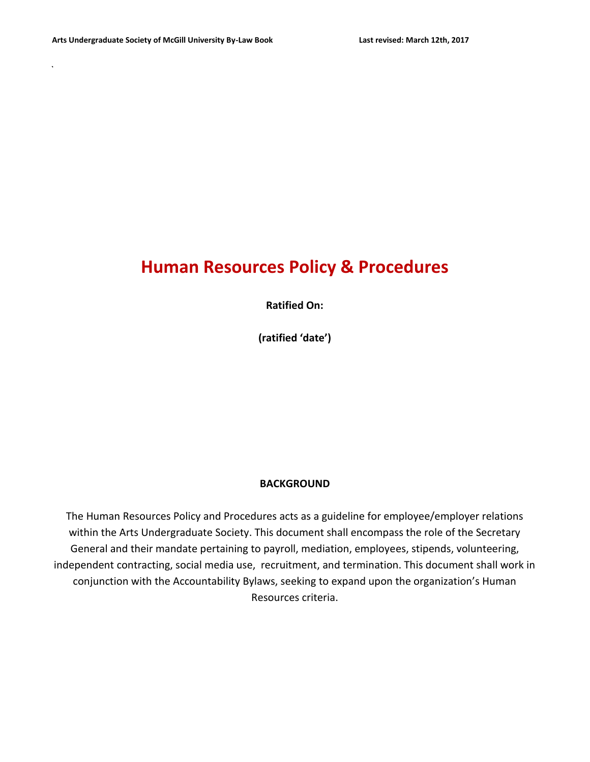# **Human Resources Policy & Procedures**

**Ratified On:**

**(ratified 'date')**

#### **BACKGROUND**

The Human Resources Policy and Procedures acts as a guideline for employee/employer relations within the Arts Undergraduate Society. This document shall encompass the role of the Secretary General and their mandate pertaining to payroll, mediation, employees, stipends, volunteering, independent contracting, social media use, recruitment, and termination. This document shall work in conjunction with the Accountability Bylaws, seeking to expand upon the organization's Human Resources criteria.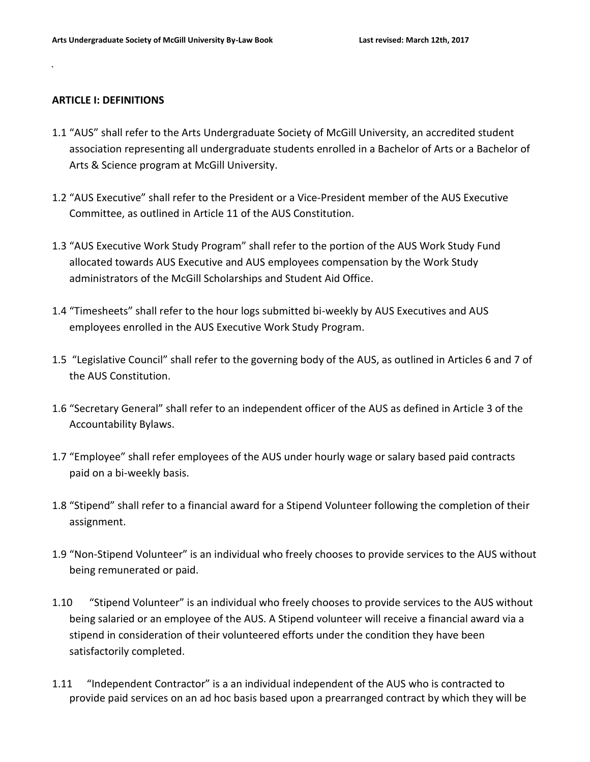#### **ARTICLE I: DEFINITIONS**

- 1.1 "AUS" shall refer to the Arts Undergraduate Society of McGill University, an accredited student association representing all undergraduate students enrolled in a Bachelor of Arts or a Bachelor of Arts & Science program at McGill University.
- 1.2 "AUS Executive" shall refer to the President or a Vice-President member of the AUS Executive Committee, as outlined in Article 11 of the AUS Constitution.
- 1.3 "AUS Executive Work Study Program" shall refer to the portion of the AUS Work Study Fund allocated towards AUS Executive and AUS employees compensation by the Work Study administrators of the McGill Scholarships and Student Aid Office.
- 1.4 "Timesheets" shall refer to the hour logs submitted bi-weekly by AUS Executives and AUS employees enrolled in the AUS Executive Work Study Program.
- 1.5 "Legislative Council" shall refer to the governing body of the AUS, as outlined in Articles 6 and 7 of the AUS Constitution.
- 1.6 "Secretary General" shall refer to an independent officer of the AUS as defined in Article 3 of the Accountability Bylaws.
- 1.7 "Employee" shall refer employees of the AUS under hourly wage or salary based paid contracts paid on a bi-weekly basis.
- 1.8 "Stipend" shall refer to a financial award for a Stipend Volunteer following the completion of their assignment.
- 1.9 "Non-Stipend Volunteer" is an individual who freely chooses to provide services to the AUS without being remunerated or paid.
- 1.10 "Stipend Volunteer" is an individual who freely chooses to provide services to the AUS without being salaried or an employee of the AUS. A Stipend volunteer will receive a financial award via a stipend in consideration of their volunteered efforts under the condition they have been satisfactorily completed.
- 1.11 "Independent Contractor" is a an individual independent of the AUS who is contracted to provide paid services on an ad hoc basis based upon a prearranged contract by which they will be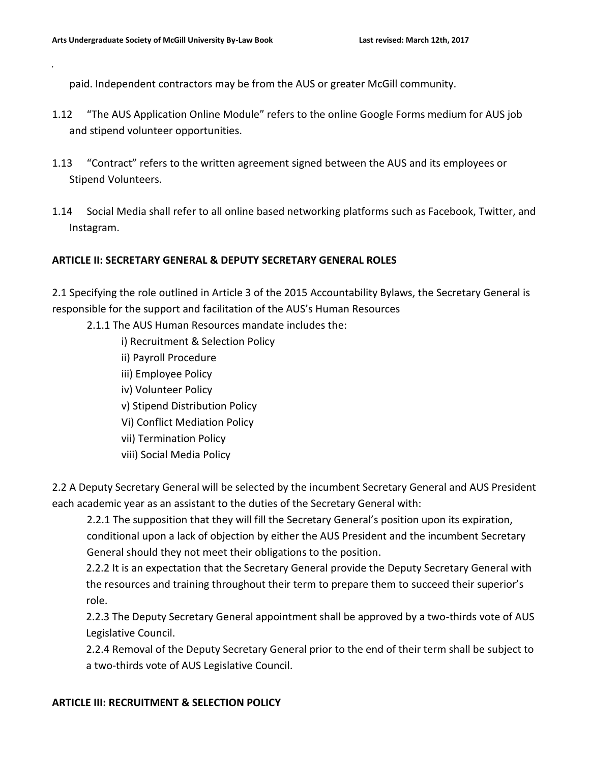paid. Independent contractors may be from the AUS or greater McGill community.

- 1.12 "The AUS Application Online Module" refers to the online Google Forms medium for AUS job and stipend volunteer opportunities.
- 1.13 "Contract" refers to the written agreement signed between the AUS and its employees or Stipend Volunteers.
- 1.14 Social Media shall refer to all online based networking platforms such as Facebook, Twitter, and Instagram.

# **ARTICLE II: SECRETARY GENERAL & DEPUTY SECRETARY GENERAL ROLES**

2.1 Specifying the role outlined in Article 3 of the 2015 Accountability Bylaws, the Secretary General is responsible for the support and facilitation of the AUS's Human Resources

- 2.1.1 The AUS Human Resources mandate includes the:
	- i) Recruitment & Selection Policy
	- ii) Payroll Procedure
	- iii) Employee Policy
	- iv) Volunteer Policy
	- v) Stipend Distribution Policy
	- Vi) Conflict Mediation Policy
	- vii) Termination Policy
	- viii) Social Media Policy

2.2 A Deputy Secretary General will be selected by the incumbent Secretary General and AUS President each academic year as an assistant to the duties of the Secretary General with:

2.2.1 The supposition that they will fill the Secretary General's position upon its expiration, conditional upon a lack of objection by either the AUS President and the incumbent Secretary General should they not meet their obligations to the position.

2.2.2 It is an expectation that the Secretary General provide the Deputy Secretary General with the resources and training throughout their term to prepare them to succeed their superior's role.

2.2.3 The Deputy Secretary General appointment shall be approved by a two-thirds vote of AUS Legislative Council.

2.2.4 Removal of the Deputy Secretary General prior to the end of their term shall be subject to a two-thirds vote of AUS Legislative Council.

## **ARTICLE III: RECRUITMENT & SELECTION POLICY**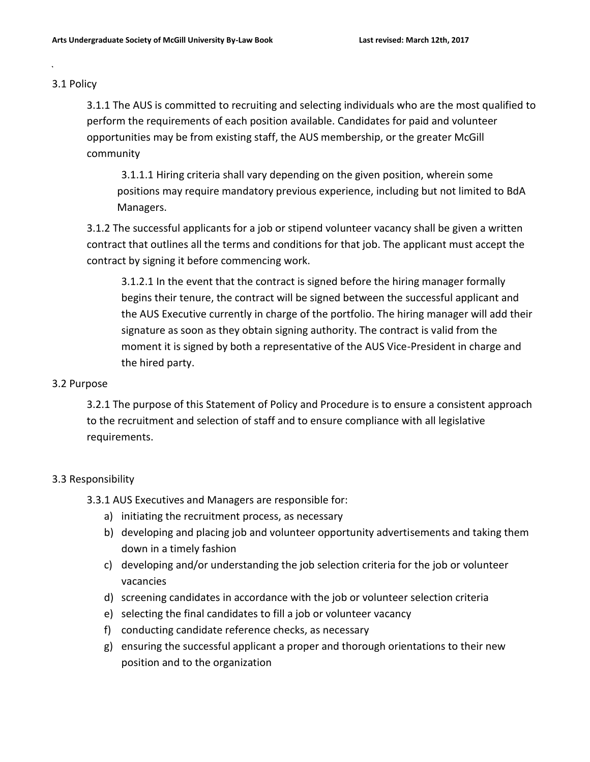#### 3.1 Policy

3.1.1 The AUS is committed to recruiting and selecting individuals who are the most qualified to perform the requirements of each position available. Candidates for paid and volunteer opportunities may be from existing staff, the AUS membership, or the greater McGill community

3.1.1.1 Hiring criteria shall vary depending on the given position, wherein some positions may require mandatory previous experience, including but not limited to BdA Managers.

3.1.2 The successful applicants for a job or stipend volunteer vacancy shall be given a written contract that outlines all the terms and conditions for that job. The applicant must accept the contract by signing it before commencing work.

3.1.2.1 In the event that the contract is signed before the hiring manager formally begins their tenure, the contract will be signed between the successful applicant and the AUS Executive currently in charge of the portfolio. The hiring manager will add their signature as soon as they obtain signing authority. The contract is valid from the moment it is signed by both a representative of the AUS Vice-President in charge and the hired party.

#### 3.2 Purpose

3.2.1 The purpose of this Statement of Policy and Procedure is to ensure a consistent approach to the recruitment and selection of staff and to ensure compliance with all legislative requirements.

## 3.3 Responsibility

- 3.3.1 AUS Executives and Managers are responsible for:
	- a) initiating the recruitment process, as necessary
	- b) developing and placing job and volunteer opportunity advertisements and taking them down in a timely fashion
	- c) developing and/or understanding the job selection criteria for the job or volunteer vacancies
	- d) screening candidates in accordance with the job or volunteer selection criteria
	- e) selecting the final candidates to fill a job or volunteer vacancy
	- f) conducting candidate reference checks, as necessary
	- g) ensuring the successful applicant a proper and thorough orientations to their new position and to the organization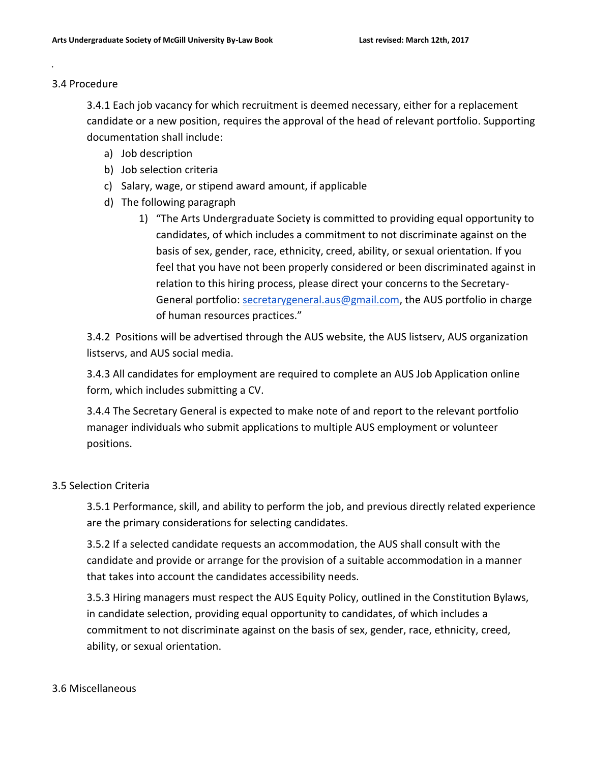#### 3.4 Procedure

3.4.1 Each job vacancy for which recruitment is deemed necessary, either for a replacement candidate or a new position, requires the approval of the head of relevant portfolio. Supporting documentation shall include:

- a) Job description
- b) Job selection criteria
- c) Salary, wage, or stipend award amount, if applicable
- d) The following paragraph
	- 1) "The Arts Undergraduate Society is committed to providing equal opportunity to candidates, of which includes a commitment to not discriminate against on the basis of sex, gender, race, ethnicity, creed, ability, or sexual orientation. If you feel that you have not been properly considered or been discriminated against in relation to this hiring process, please direct your concerns to the Secretary-General portfolio: [secretarygeneral.aus@gmail.com,](mailto:secretarygeneral.aus@gmail.com) the AUS portfolio in charge of human resources practices."

3.4.2 Positions will be advertised through the AUS website, the AUS listserv, AUS organization listservs, and AUS social media.

3.4.3 All candidates for employment are required to complete an AUS Job Application online form, which includes submitting a CV.

3.4.4 The Secretary General is expected to make note of and report to the relevant portfolio manager individuals who submit applications to multiple AUS employment or volunteer positions.

## 3.5 Selection Criteria

3.5.1 Performance, skill, and ability to perform the job, and previous directly related experience are the primary considerations for selecting candidates.

3.5.2 If a selected candidate requests an accommodation, the AUS shall consult with the candidate and provide or arrange for the provision of a suitable accommodation in a manner that takes into account the candidates accessibility needs.

3.5.3 Hiring managers must respect the AUS Equity Policy, outlined in the Constitution Bylaws, in candidate selection, providing equal opportunity to candidates, of which includes a commitment to not discriminate against on the basis of sex, gender, race, ethnicity, creed, ability, or sexual orientation.

#### 3.6 Miscellaneous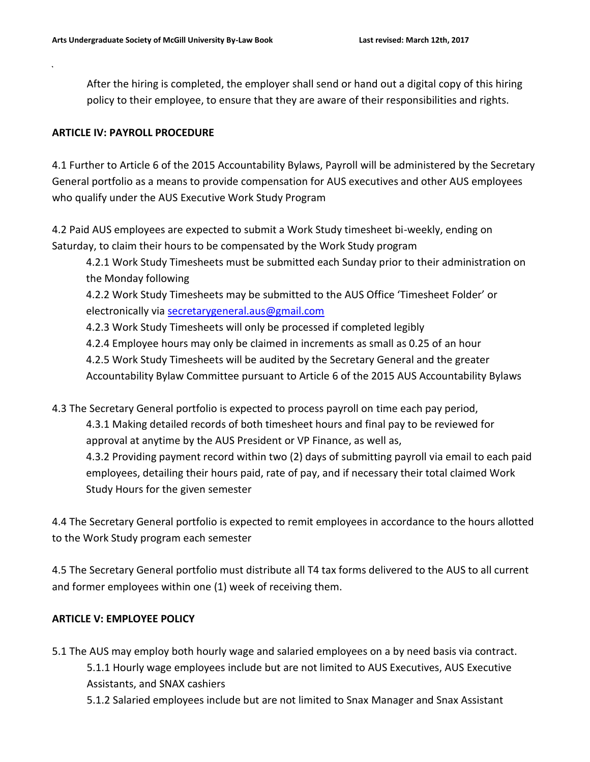After the hiring is completed, the employer shall send or hand out a digital copy of this hiring policy to their employee, to ensure that they are aware of their responsibilities and rights.

# **ARTICLE IV: PAYROLL PROCEDURE**

4.1 Further to Article 6 of the 2015 Accountability Bylaws, Payroll will be administered by the Secretary General portfolio as a means to provide compensation for AUS executives and other AUS employees who qualify under the AUS Executive Work Study Program

4.2 Paid AUS employees are expected to submit a Work Study timesheet bi-weekly, ending on Saturday, to claim their hours to be compensated by the Work Study program

4.2.1 Work Study Timesheets must be submitted each Sunday prior to their administration on the Monday following

4.2.2 Work Study Timesheets may be submitted to the AUS Office 'Timesheet Folder' or electronically via [secretarygeneral.aus@gmail.com](mailto:secretarygeneral.aus@gmail.com)

4.2.3 Work Study Timesheets will only be processed if completed legibly

- 4.2.4 Employee hours may only be claimed in increments as small as 0.25 of an hour
- 4.2.5 Work Study Timesheets will be audited by the Secretary General and the greater

Accountability Bylaw Committee pursuant to Article 6 of the 2015 AUS Accountability Bylaws

4.3 The Secretary General portfolio is expected to process payroll on time each pay period,

4.3.1 Making detailed records of both timesheet hours and final pay to be reviewed for approval at anytime by the AUS President or VP Finance, as well as,

4.3.2 Providing payment record within two (2) days of submitting payroll via email to each paid employees, detailing their hours paid, rate of pay, and if necessary their total claimed Work Study Hours for the given semester

4.4 The Secretary General portfolio is expected to remit employees in accordance to the hours allotted to the Work Study program each semester

4.5 The Secretary General portfolio must distribute all T4 tax forms delivered to the AUS to all current and former employees within one (1) week of receiving them.

# **ARTICLE V: EMPLOYEE POLICY**

- 5.1 The AUS may employ both hourly wage and salaried employees on a by need basis via contract. 5.1.1 Hourly wage employees include but are not limited to AUS Executives, AUS Executive Assistants, and SNAX cashiers
	- 5.1.2 Salaried employees include but are not limited to Snax Manager and Snax Assistant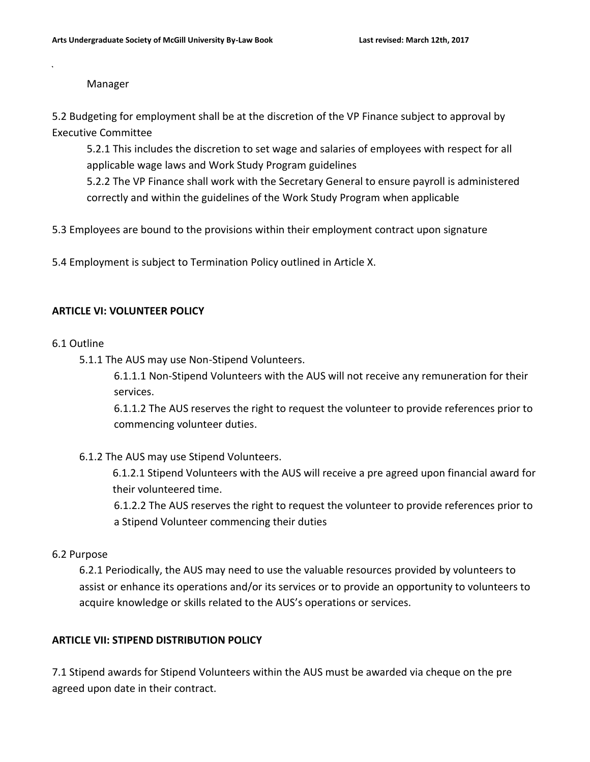#### Manager

5.2 Budgeting for employment shall be at the discretion of the VP Finance subject to approval by Executive Committee

5.2.1 This includes the discretion to set wage and salaries of employees with respect for all applicable wage laws and Work Study Program guidelines

5.2.2 The VP Finance shall work with the Secretary General to ensure payroll is administered correctly and within the guidelines of the Work Study Program when applicable

5.3 Employees are bound to the provisions within their employment contract upon signature

5.4 Employment is subject to Termination Policy outlined in Article X.

# **ARTICLE VI: VOLUNTEER POLICY**

## 6.1 Outline

5.1.1 The AUS may use Non-Stipend Volunteers.

6.1.1.1 Non-Stipend Volunteers with the AUS will not receive any remuneration for their services.

6.1.1.2 The AUS reserves the right to request the volunteer to provide references prior to commencing volunteer duties.

## 6.1.2 The AUS may use Stipend Volunteers.

6.1.2.1 Stipend Volunteers with the AUS will receive a pre agreed upon financial award for their volunteered time.

6.1.2.2 The AUS reserves the right to request the volunteer to provide references prior to a Stipend Volunteer commencing their duties

## 6.2 Purpose

6.2.1 Periodically, the AUS may need to use the valuable resources provided by volunteers to assist or enhance its operations and/or its services or to provide an opportunity to volunteers to acquire knowledge or skills related to the AUS's operations or services.

# **ARTICLE VII: STIPEND DISTRIBUTION POLICY**

7.1 Stipend awards for Stipend Volunteers within the AUS must be awarded via cheque on the pre agreed upon date in their contract.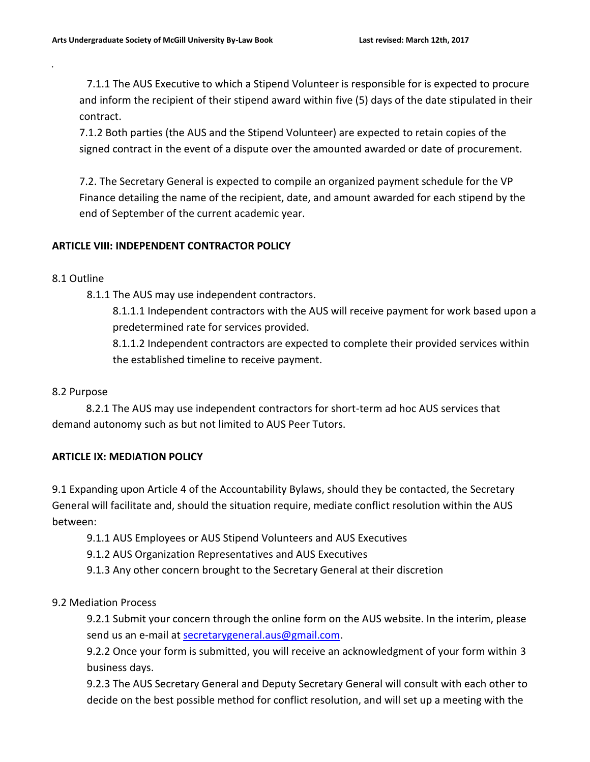7.1.1 The AUS Executive to which a Stipend Volunteer is responsible for is expected to procure and inform the recipient of their stipend award within five (5) days of the date stipulated in their contract.

7.1.2 Both parties (the AUS and the Stipend Volunteer) are expected to retain copies of the signed contract in the event of a dispute over the amounted awarded or date of procurement.

7.2. The Secretary General is expected to compile an organized payment schedule for the VP Finance detailing the name of the recipient, date, and amount awarded for each stipend by the end of September of the current academic year.

# **ARTICLE VIII: INDEPENDENT CONTRACTOR POLICY**

## 8.1 Outline

8.1.1 The AUS may use independent contractors.

8.1.1.1 Independent contractors with the AUS will receive payment for work based upon a predetermined rate for services provided.

8.1.1.2 Independent contractors are expected to complete their provided services within the established timeline to receive payment.

# 8.2 Purpose

 8.2.1 The AUS may use independent contractors for short-term ad hoc AUS services that demand autonomy such as but not limited to AUS Peer Tutors.

# **ARTICLE IX: MEDIATION POLICY**

9.1 Expanding upon Article 4 of the Accountability Bylaws, should they be contacted, the Secretary General will facilitate and, should the situation require, mediate conflict resolution within the AUS between:

9.1.1 AUS Employees or AUS Stipend Volunteers and AUS Executives

- 9.1.2 AUS Organization Representatives and AUS Executives
- 9.1.3 Any other concern brought to the Secretary General at their discretion

## 9.2 Mediation Process

9.2.1 Submit your concern through the online form on the AUS website. In the interim, please send us an e-mail at [secretarygeneral.aus@gmail.com.](mailto:secretary-general.aus@gmail.com)

9.2.2 Once your form is submitted, you will receive an acknowledgment of your form within 3 business days.

9.2.3 The AUS Secretary General and Deputy Secretary General will consult with each other to decide on the best possible method for conflict resolution, and will set up a meeting with the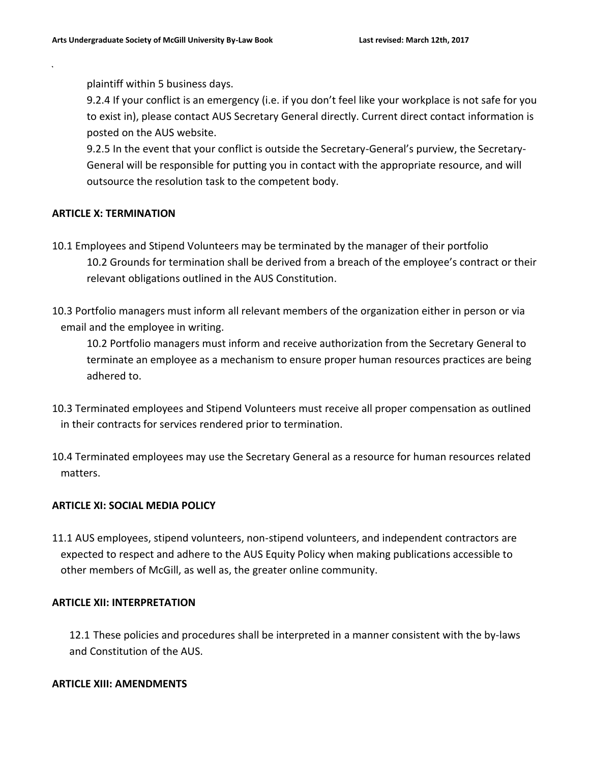plaintiff within 5 business days.

9.2.4 If your conflict is an emergency (i.e. if you don't feel like your workplace is not safe for you to exist in), please contact AUS Secretary General directly. Current direct contact information is posted on the AUS website.

9.2.5 In the event that your conflict is outside the Secretary-General's purview, the Secretary-General will be responsible for putting you in contact with the appropriate resource, and will outsource the resolution task to the competent body.

## **ARTICLE X: TERMINATION**

- 10.1 Employees and Stipend Volunteers may be terminated by the manager of their portfolio 10.2 Grounds for termination shall be derived from a breach of the employee's contract or their relevant obligations outlined in the AUS Constitution.
- 10.3 Portfolio managers must inform all relevant members of the organization either in person or via email and the employee in writing.

10.2 Portfolio managers must inform and receive authorization from the Secretary General to terminate an employee as a mechanism to ensure proper human resources practices are being adhered to.

- 10.3 Terminated employees and Stipend Volunteers must receive all proper compensation as outlined in their contracts for services rendered prior to termination.
- 10.4 Terminated employees may use the Secretary General as a resource for human resources related matters.

## **ARTICLE XI: SOCIAL MEDIA POLICY**

11.1 AUS employees, stipend volunteers, non-stipend volunteers, and independent contractors are expected to respect and adhere to the AUS Equity Policy when making publications accessible to other members of McGill, as well as, the greater online community.

#### **ARTICLE XII: INTERPRETATION**

12.1 These policies and procedures shall be interpreted in a manner consistent with the by-laws and Constitution of the AUS.

#### **ARTICLE XIII: AMENDMENTS**